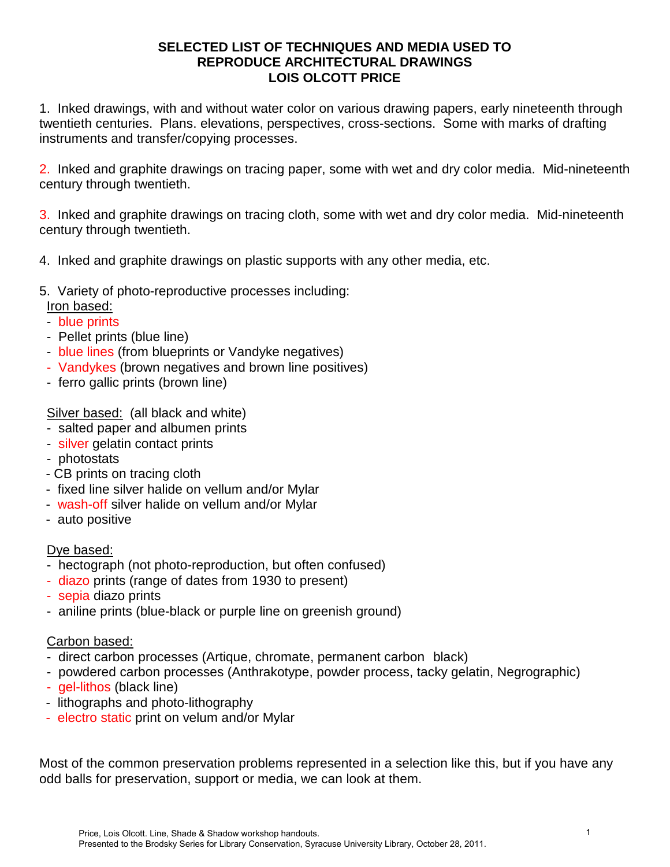#### **SELECTED LIST OF TECHNIQUES AND MEDIA USED TO REPRODUCE ARCHITECTURAL DRAWINGS LOIS OLCOTT PRICE**

1. Inked drawings, with and without water color on various drawing papers, early nineteenth through twentieth centuries. Plans. elevations, perspectives, cross-sections. Some with marks of drafting instruments and transfer/copying processes.

2. Inked and graphite drawings on tracing paper, some with wet and dry color media. Mid-nineteenth century through twentieth.

3. Inked and graphite drawings on tracing cloth, some with wet and dry color media. Mid-nineteenth century through twentieth.

4. Inked and graphite drawings on plastic supports with any other media, etc.

- 5. Variety of photo-reproductive processes including:
- Iron based:
- blue prints
- Pellet prints (blue line)
- blue lines (from blueprints or Vandyke negatives)
- Vandykes (brown negatives and brown line positives)
- ferro gallic prints (brown line)

Silver based: (all black and white)

- salted paper and albumen prints
- silver gelatin contact prints
- photostats
- CB prints on tracing cloth
- fixed line silver halide on vellum and/or Mylar
- wash-off silver halide on vellum and/or Mylar
- auto positive

#### Dye based:

- hectograph (not photo-reproduction, but often confused)
- diazo prints (range of dates from 1930 to present)
- sepia diazo prints
- aniline prints (blue-black or purple line on greenish ground)

#### Carbon based:

- direct carbon processes (Artique, chromate, permanent carbon black)
- powdered carbon processes (Anthrakotype, powder process, tacky gelatin, Negrographic)
- gel-lithos (black line)
- lithographs and photo-lithography
- electro static print on velum and/or Mylar

Most of the common preservation problems represented in a selection like this, but if you have any odd balls for preservation, support or media, we can look at them.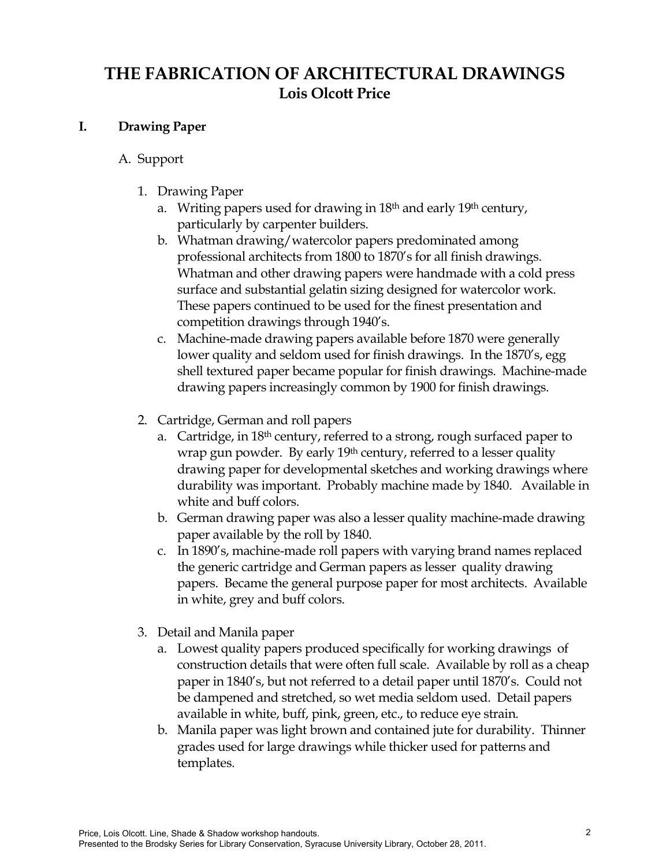# **THE FABRICATION OF ARCHITECTURAL DRAWINGS Lois Olcott Price**

### **I. Drawing Paper**

### A. Support

- 1. Drawing Paper
	- a. Writing papers used for drawing in  $18<sup>th</sup>$  and early  $19<sup>th</sup>$  century, particularly by carpenter builders.
	- b. Whatman drawing/watercolor papers predominated among professional architects from 1800 to 1870's for all finish drawings. Whatman and other drawing papers were handmade with a cold press surface and substantial gelatin sizing designed for watercolor work. These papers continued to be used for the finest presentation and competition drawings through 1940's.
	- c. Machine-made drawing papers available before 1870 were generally lower quality and seldom used for finish drawings. In the 1870's, egg shell textured paper became popular for finish drawings. Machine-made drawing papers increasingly common by 1900 for finish drawings.
- 2. Cartridge, German and roll papers
	- a. Cartridge, in 18<sup>th</sup> century, referred to a strong, rough surfaced paper to wrap gun powder. By early 19<sup>th</sup> century, referred to a lesser quality drawing paper for developmental sketches and working drawings where durability was important. Probably machine made by 1840. Available in white and buff colors.
	- b. German drawing paper was also a lesser quality machine-made drawing paper available by the roll by 1840.
	- c. In 1890's, machine-made roll papers with varying brand names replaced the generic cartridge and German papers as lesser quality drawing papers. Became the general purpose paper for most architects. Available in white, grey and buff colors.
- 3. Detail and Manila paper
	- a. Lowest quality papers produced specifically for working drawings of construction details that were often full scale. Available by roll as a cheap paper in 1840's, but not referred to a detail paper until 1870's. Could not be dampened and stretched, so wet media seldom used. Detail papers available in white, buff, pink, green, etc., to reduce eye strain.
	- b. Manila paper was light brown and contained jute for durability. Thinner grades used for large drawings while thicker used for patterns and templates.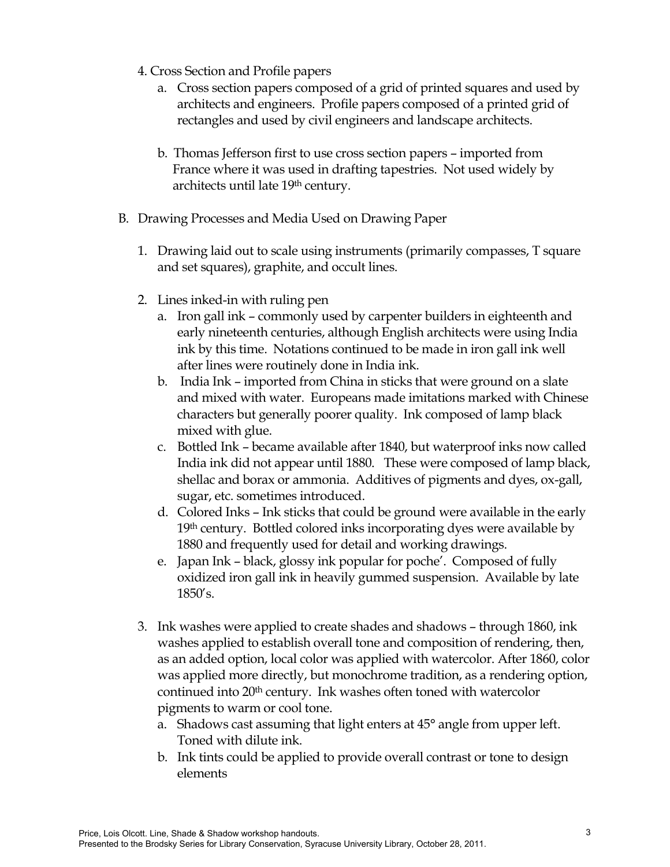- 4. Cross Section and Profile papers
	- a. Cross section papers composed of a grid of printed squares and used by architects and engineers. Profile papers composed of a printed grid of rectangles and used by civil engineers and landscape architects.
	- b. Thomas Jefferson first to use cross section papers imported from France where it was used in drafting tapestries. Not used widely by architects until late 19<sup>th</sup> century.
- B. Drawing Processes and Media Used on Drawing Paper
	- 1. Drawing laid out to scale using instruments (primarily compasses, T square and set squares), graphite, and occult lines.
	- 2. Lines inked-in with ruling pen
		- a. Iron gall ink commonly used by carpenter builders in eighteenth and early nineteenth centuries, although English architects were using India ink by this time. Notations continued to be made in iron gall ink well after lines were routinely done in India ink.
		- b. India Ink imported from China in sticks that were ground on a slate and mixed with water. Europeans made imitations marked with Chinese characters but generally poorer quality. Ink composed of lamp black mixed with glue.
		- c. Bottled Ink became available after 1840, but waterproof inks now called India ink did not appear until 1880. These were composed of lamp black, shellac and borax or ammonia. Additives of pigments and dyes, ox-gall, sugar, etc. sometimes introduced.
		- d. Colored Inks Ink sticks that could be ground were available in the early  $19<sup>th</sup>$  century. Bottled colored inks incorporating dyes were available by 1880 and frequently used for detail and working drawings.
		- e. Japan Ink black, glossy ink popular for poche'. Composed of fully oxidized iron gall ink in heavily gummed suspension. Available by late 1850's.
	- 3. Ink washes were applied to create shades and shadows through 1860, ink washes applied to establish overall tone and composition of rendering, then, as an added option, local color was applied with watercolor. After 1860, color was applied more directly, but monochrome tradition, as a rendering option, continued into 20<sup>th</sup> century. Ink washes often toned with watercolor pigments to warm or cool tone.
		- a. Shadows cast assuming that light enters at 45° angle from upper left. Toned with dilute ink.
		- b. Ink tints could be applied to provide overall contrast or tone to design elements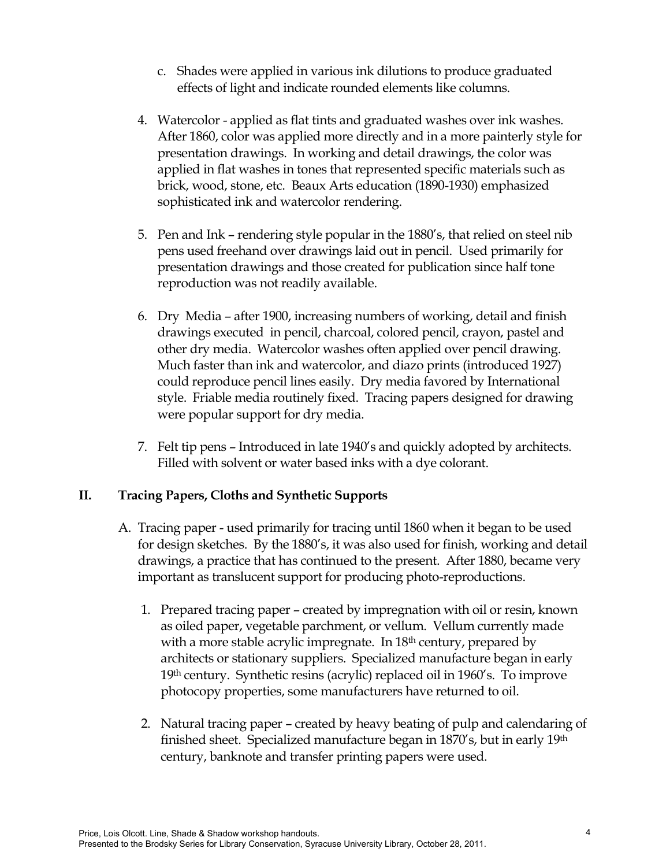- c. Shades were applied in various ink dilutions to produce graduated effects of light and indicate rounded elements like columns.
- 4. Watercolor applied as flat tints and graduated washes over ink washes. After 1860, color was applied more directly and in a more painterly style for presentation drawings. In working and detail drawings, the color was applied in flat washes in tones that represented specific materials such as brick, wood, stone, etc. Beaux Arts education (1890-1930) emphasized sophisticated ink and watercolor rendering.
- 5. Pen and Ink rendering style popular in the 1880's, that relied on steel nib pens used freehand over drawings laid out in pencil. Used primarily for presentation drawings and those created for publication since half tone reproduction was not readily available.
- 6. Dry Media after 1900, increasing numbers of working, detail and finish drawings executed in pencil, charcoal, colored pencil, crayon, pastel and other dry media. Watercolor washes often applied over pencil drawing. Much faster than ink and watercolor, and diazo prints (introduced 1927) could reproduce pencil lines easily. Dry media favored by International style. Friable media routinely fixed. Tracing papers designed for drawing were popular support for dry media.
- 7. Felt tip pens Introduced in late 1940's and quickly adopted by architects. Filled with solvent or water based inks with a dye colorant.

### **II. Tracing Papers, Cloths and Synthetic Supports**

- A. Tracing paper used primarily for tracing until 1860 when it began to be used for design sketches. By the 1880's, it was also used for finish, working and detail drawings, a practice that has continued to the present. After 1880, became very important as translucent support for producing photo-reproductions.
	- 1. Prepared tracing paper created by impregnation with oil or resin, known as oiled paper, vegetable parchment, or vellum. Vellum currently made with a more stable acrylic impregnate. In  $18<sup>th</sup>$  century, prepared by architects or stationary suppliers. Specialized manufacture began in early 19th century. Synthetic resins (acrylic) replaced oil in 1960's. To improve photocopy properties, some manufacturers have returned to oil.
	- 2. Natural tracing paper created by heavy beating of pulp and calendaring of finished sheet. Specialized manufacture began in 1870's, but in early 19<sup>th</sup> century, banknote and transfer printing papers were used.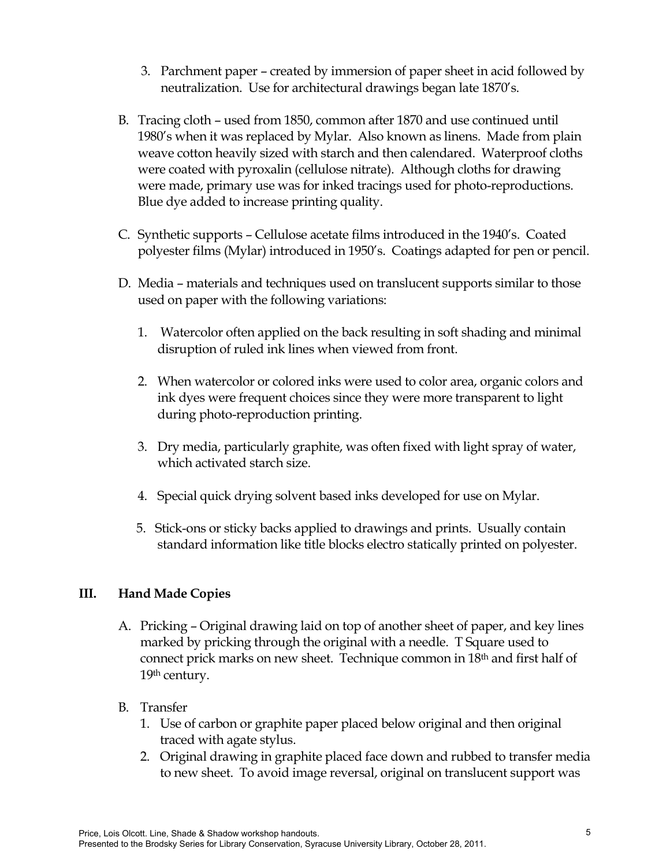- 3. Parchment paper created by immersion of paper sheet in acid followed by neutralization. Use for architectural drawings began late 1870's.
- B. Tracing cloth used from 1850, common after 1870 and use continued until 1980's when it was replaced by Mylar. Also known as linens. Made from plain weave cotton heavily sized with starch and then calendared. Waterproof cloths were coated with pyroxalin (cellulose nitrate). Although cloths for drawing were made, primary use was for inked tracings used for photo-reproductions. Blue dye added to increase printing quality.
- C. Synthetic supports Cellulose acetate films introduced in the 1940's. Coated polyester films (Mylar) introduced in 1950's. Coatings adapted for pen or pencil.
- D. Media materials and techniques used on translucent supports similar to those used on paper with the following variations:
	- 1. Watercolor often applied on the back resulting in soft shading and minimal disruption of ruled ink lines when viewed from front.
	- 2. When watercolor or colored inks were used to color area, organic colors and ink dyes were frequent choices since they were more transparent to light during photo-reproduction printing.
	- 3. Dry media, particularly graphite, was often fixed with light spray of water, which activated starch size.
	- 4. Special quick drying solvent based inks developed for use on Mylar.
	- 5. Stick-ons or sticky backs applied to drawings and prints. Usually contain standard information like title blocks electro statically printed on polyester.

## **III. Hand Made Copies**

A. Pricking – Original drawing laid on top of another sheet of paper, and key lines marked by pricking through the original with a needle. T Square used to connect prick marks on new sheet. Technique common in 18th and first half of 19<sup>th</sup> century.

### B. Transfer

- 1. Use of carbon or graphite paper placed below original and then original traced with agate stylus.
- 2. Original drawing in graphite placed face down and rubbed to transfer media to new sheet. To avoid image reversal, original on translucent support was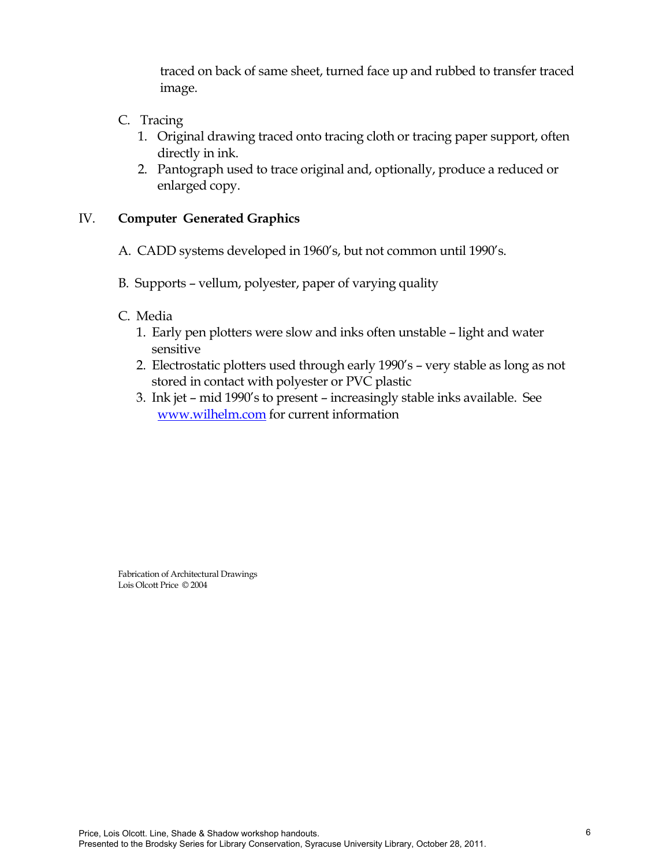traced on back of same sheet, turned face up and rubbed to transfer traced image.

- C. Tracing
	- 1. Original drawing traced onto tracing cloth or tracing paper support, often directly in ink.
	- 2. Pantograph used to trace original and, optionally, produce a reduced or enlarged copy.

### IV. **Computer Generated Graphics**

- A. CADD systems developed in 1960's, but not common until 1990's.
- B. Supports vellum, polyester, paper of varying quality
- C. Media
	- 1. Early pen plotters were slow and inks often unstable light and water sensitive
	- 2. Electrostatic plotters used through early 1990's very stable as long as not stored in contact with polyester or PVC plastic
	- 3. Ink jet mid 1990's to present increasingly stable inks available. See [www.wilhelm.com](http://www.wilhelm.com/) for current information

Fabrication of Architectural Drawings Lois Olcott Price © 2004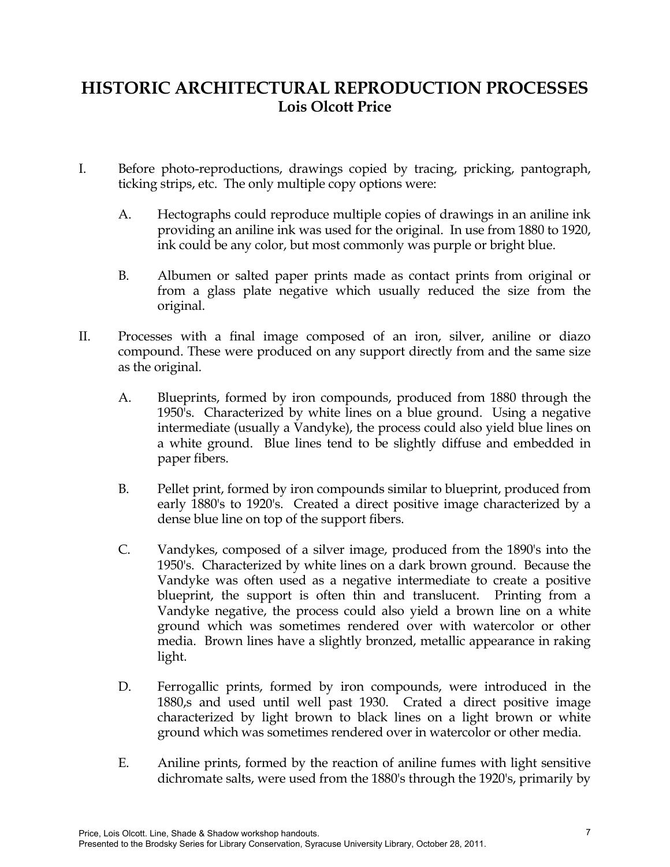# **HISTORIC ARCHITECTURAL REPRODUCTION PROCESSES Lois Olcott Price**

- I. Before photo-reproductions, drawings copied by tracing, pricking, pantograph, ticking strips, etc. The only multiple copy options were:
	- A. Hectographs could reproduce multiple copies of drawings in an aniline ink providing an aniline ink was used for the original. In use from 1880 to 1920, ink could be any color, but most commonly was purple or bright blue.
	- B. Albumen or salted paper prints made as contact prints from original or from a glass plate negative which usually reduced the size from the original.
- II. Processes with a final image composed of an iron, silver, aniline or diazo compound. These were produced on any support directly from and the same size as the original.
	- A. Blueprints, formed by iron compounds, produced from 1880 through the 1950's. Characterized by white lines on a blue ground. Using a negative intermediate (usually a Vandyke), the process could also yield blue lines on a white ground. Blue lines tend to be slightly diffuse and embedded in paper fibers.
	- B. Pellet print, formed by iron compounds similar to blueprint, produced from early 1880's to 1920's. Created a direct positive image characterized by a dense blue line on top of the support fibers.
	- C. Vandykes, composed of a silver image, produced from the 1890's into the 1950's. Characterized by white lines on a dark brown ground. Because the Vandyke was often used as a negative intermediate to create a positive blueprint, the support is often thin and translucent. Printing from a Vandyke negative, the process could also yield a brown line on a white ground which was sometimes rendered over with watercolor or other media. Brown lines have a slightly bronzed, metallic appearance in raking light.
	- D. Ferrogallic prints, formed by iron compounds, were introduced in the 1880,s and used until well past 1930. Crated a direct positive image characterized by light brown to black lines on a light brown or white ground which was sometimes rendered over in watercolor or other media.
	- E. Aniline prints, formed by the reaction of aniline fumes with light sensitive dichromate salts, were used from the 1880's through the 1920's, primarily by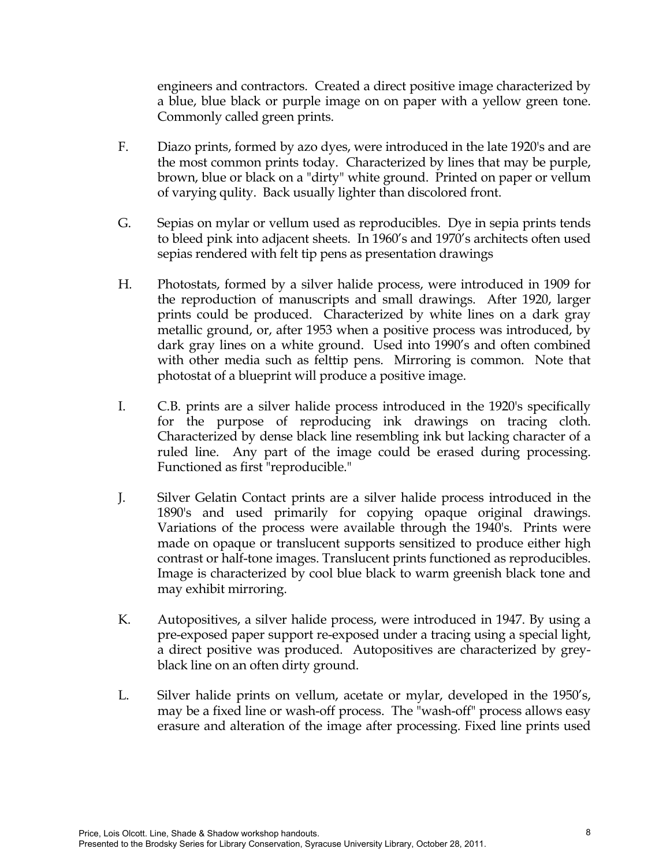engineers and contractors. Created a direct positive image characterized by a blue, blue black or purple image on on paper with a yellow green tone. Commonly called green prints.

- F. Diazo prints, formed by azo dyes, were introduced in the late 1920's and are the most common prints today. Characterized by lines that may be purple, brown, blue or black on a "dirty" white ground. Printed on paper or vellum of varying qulity. Back usually lighter than discolored front.
- G. Sepias on mylar or vellum used as reproducibles. Dye in sepia prints tends to bleed pink into adjacent sheets. In 1960's and 1970's architects often used sepias rendered with felt tip pens as presentation drawings
- H. Photostats, formed by a silver halide process, were introduced in 1909 for the reproduction of manuscripts and small drawings. After 1920, larger prints could be produced. Characterized by white lines on a dark gray metallic ground, or, after 1953 when a positive process was introduced, by dark gray lines on a white ground. Used into 1990's and often combined with other media such as felttip pens. Mirroring is common. Note that photostat of a blueprint will produce a positive image.
- I. C.B. prints are a silver halide process introduced in the 1920's specifically for the purpose of reproducing ink drawings on tracing cloth. Characterized by dense black line resembling ink but lacking character of a ruled line. Any part of the image could be erased during processing. Functioned as first "reproducible."
- J. Silver Gelatin Contact prints are a silver halide process introduced in the 1890's and used primarily for copying opaque original drawings. Variations of the process were available through the 1940's. Prints were made on opaque or translucent supports sensitized to produce either high contrast or half-tone images. Translucent prints functioned as reproducibles. Image is characterized by cool blue black to warm greenish black tone and may exhibit mirroring.
- K. Autopositives, a silver halide process, were introduced in 1947. By using a pre-exposed paper support re-exposed under a tracing using a special light, a direct positive was produced. Autopositives are characterized by greyblack line on an often dirty ground.
- L. Silver halide prints on vellum, acetate or mylar, developed in the 1950's, may be a fixed line or wash-off process. The "wash-off" process allows easy erasure and alteration of the image after processing. Fixed line prints used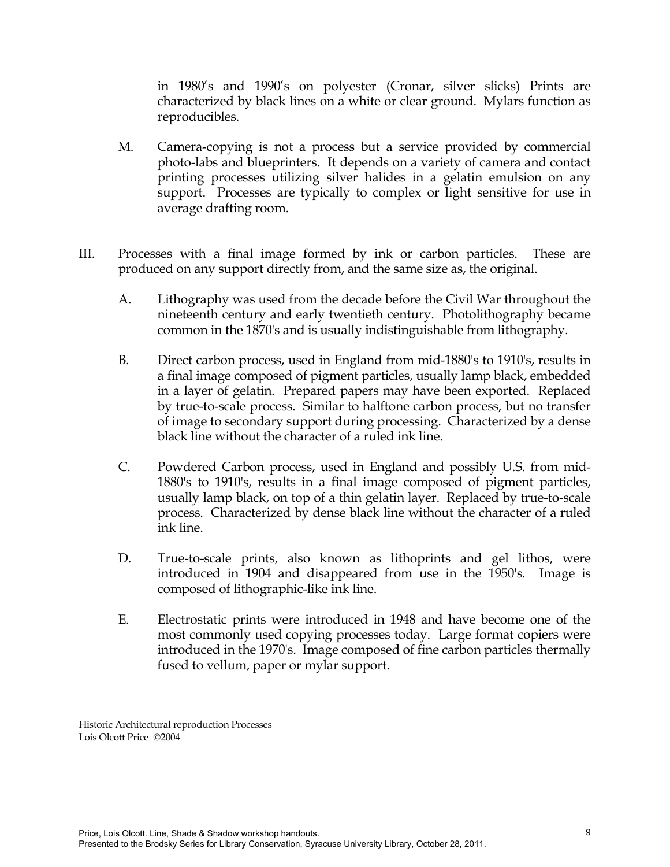in 1980's and 1990's on polyester (Cronar, silver slicks) Prints are characterized by black lines on a white or clear ground. Mylars function as reproducibles.

- M. Camera-copying is not a process but a service provided by commercial photo-labs and blueprinters. It depends on a variety of camera and contact printing processes utilizing silver halides in a gelatin emulsion on any support. Processes are typically to complex or light sensitive for use in average drafting room.
- III. Processes with a final image formed by ink or carbon particles. These are produced on any support directly from, and the same size as, the original.
	- A. Lithography was used from the decade before the Civil War throughout the nineteenth century and early twentieth century. Photolithography became common in the 1870's and is usually indistinguishable from lithography.
	- B. Direct carbon process, used in England from mid-1880's to 1910's, results in a final image composed of pigment particles, usually lamp black, embedded in a layer of gelatin. Prepared papers may have been exported. Replaced by true-to-scale process. Similar to halftone carbon process, but no transfer of image to secondary support during processing. Characterized by a dense black line without the character of a ruled ink line.
	- C. Powdered Carbon process, used in England and possibly U.S. from mid-1880's to 1910's, results in a final image composed of pigment particles, usually lamp black, on top of a thin gelatin layer. Replaced by true-to-scale process. Characterized by dense black line without the character of a ruled ink line.
	- D. True-to-scale prints, also known as lithoprints and gel lithos, were introduced in 1904 and disappeared from use in the 1950's. Image is composed of lithographic-like ink line.
	- E. Electrostatic prints were introduced in 1948 and have become one of the most commonly used copying processes today. Large format copiers were introduced in the 1970's. Image composed of fine carbon particles thermally fused to vellum, paper or mylar support.

Historic Architectural reproduction Processes Lois Olcott Price ©2004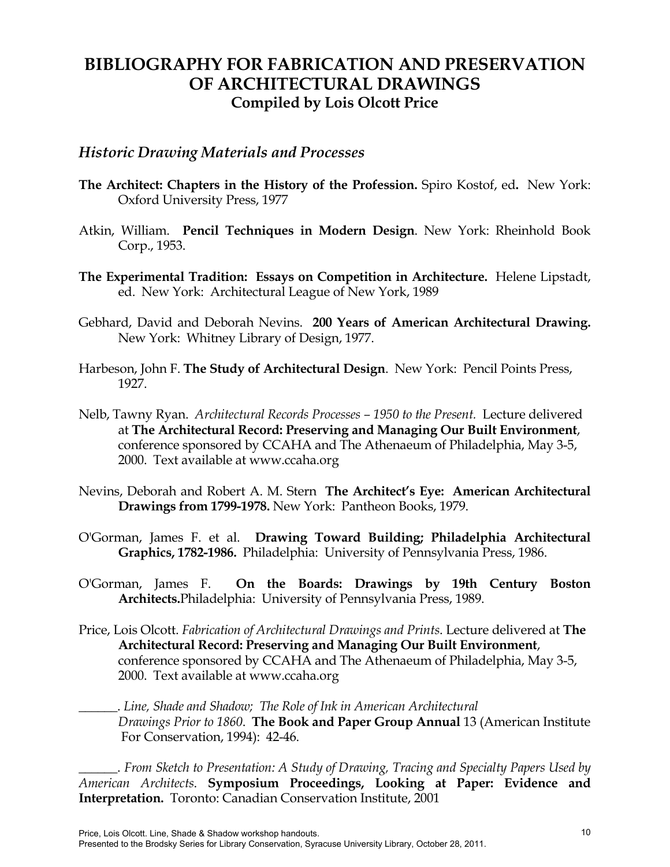# **BIBLIOGRAPHY FOR FABRICATION AND PRESERVATION OF ARCHITECTURAL DRAWINGS Compiled by Lois Olcott Price**

### *Historic Drawing Materials and Processes*

- **The Architect: Chapters in the History of the Profession.** Spiro Kostof, ed**.** New York: Oxford University Press, 1977
- Atkin, William. **Pencil Techniques in Modern Design**. New York: Rheinhold Book Corp., 1953.
- **The Experimental Tradition: Essays on Competition in Architecture.** Helene Lipstadt, ed. New York: Architectural League of New York, 1989
- Gebhard, David and Deborah Nevins. **200 Years of American Architectural Drawing.**  New York: Whitney Library of Design, 1977.
- Harbeson, John F. **The Study of Architectural Design**. New York: Pencil Points Press, 1927.
- Nelb, Tawny Ryan. *Architectural Records Processes 1950 to the Present.* Lecture delivered at **The Architectural Record: Preserving and Managing Our Built Environment**, conference sponsored by CCAHA and The Athenaeum of Philadelphia, May 3-5, 2000. Text available at www.ccaha.org
- Nevins, Deborah and Robert A. M. Stern **The Architect's Eye: American Architectural Drawings from 1799-1978.** New York: Pantheon Books, 1979.
- O'Gorman, James F. et al. **Drawing Toward Building; Philadelphia Architectural Graphics, 1782-1986.** Philadelphia: University of Pennsylvania Press, 1986.
- O'Gorman, James F. **On the Boards: Drawings by 19th Century Boston Architects.**Philadelphia: University of Pennsylvania Press, 1989.
- Price, Lois Olcott. *Fabrication of Architectural Drawings and Prints*. Lecture delivered at **The Architectural Record: Preserving and Managing Our Built Environment**, conference sponsored by CCAHA and The Athenaeum of Philadelphia, May 3-5, 2000. Text available at www.ccaha.org

\_\_\_\_\_\_. *Line, Shade and Shadow; The Role of Ink in American Architectural Drawings Prior to 1860*. **The Book and Paper Group Annual** 13 (American Institute For Conservation, 1994): 42-46.

\_\_\_\_\_\_. *From Sketch to Presentation: A Study of Drawing, Tracing and Specialty Papers Used by American Architects*. **Symposium Proceedings, Looking at Paper: Evidence and Interpretation.** Toronto: Canadian Conservation Institute, 2001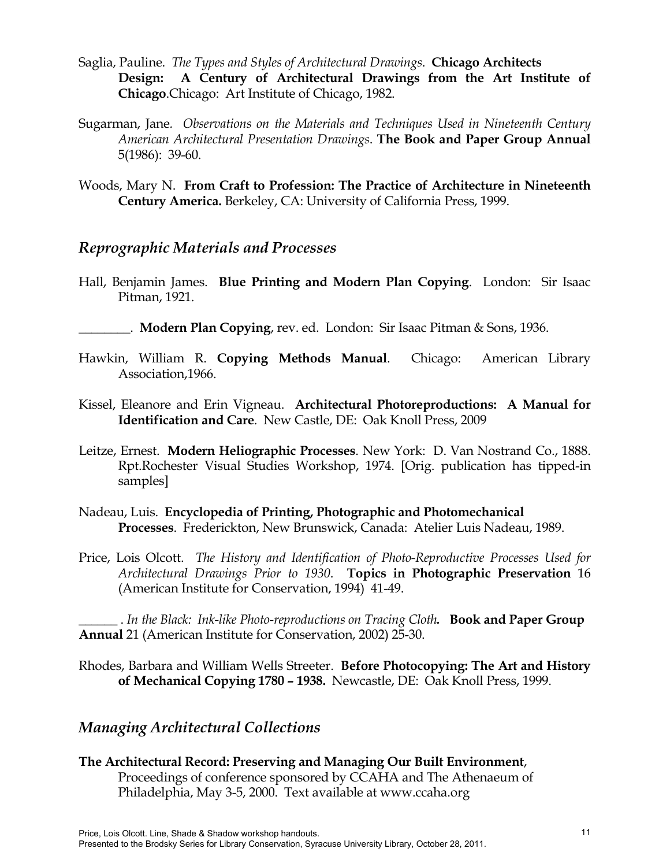- Saglia, Pauline. *The Types and Styles of Architectural Drawings*. **Chicago Architects Design: A Century of Architectural Drawings from the Art Institute of Chicago**.Chicago: Art Institute of Chicago, 1982.
- Sugarman, Jane*. Observations on the Materials and Techniques Used in Nineteenth Century American Architectural Presentation Drawings*. **The Book and Paper Group Annual** 5(1986): 39-60.
- Woods, Mary N. **From Craft to Profession: The Practice of Architecture in Nineteenth Century America.** Berkeley, CA: University of California Press, 1999.

### *Reprographic Materials and Processes*

- Hall, Benjamin James. **Blue Printing and Modern Plan Copying**. London: Sir Isaac Pitman, 1921.
- \_\_\_\_\_\_\_\_. **Modern Plan Copying**, rev. ed. London: Sir Isaac Pitman & Sons, 1936.
- Hawkin, William R. **Copying Methods Manual**. Chicago: American Library Association,1966.
- Kissel, Eleanore and Erin Vigneau. **Architectural Photoreproductions: A Manual for Identification and Care**. New Castle, DE: Oak Knoll Press, 2009
- Leitze, Ernest. **Modern Heliographic Processes**. New York: D. Van Nostrand Co., 1888. Rpt.Rochester Visual Studies Workshop, 1974. [Orig. publication has tipped-in samples]
- Nadeau, Luis. **Encyclopedia of Printing, Photographic and Photomechanical Processes**. Frederickton, New Brunswick, Canada: Atelier Luis Nadeau, 1989.
- Price, Lois Olcott. *The History and Identification of Photo-Reproductive Processes Used for Architectural Drawings Prior to 1930*. **Topics in Photographic Preservation** 16 (American Institute for Conservation, 1994) 41-49.

\_\_\_\_\_\_ . *In the Black: Ink-like Photo-reproductions on Tracing Cloth.* **Book and Paper Group Annual** 21 (American Institute for Conservation, 2002) 25-30.

Rhodes, Barbara and William Wells Streeter. **Before Photocopying: The Art and History of Mechanical Copying 1780 – 1938.** Newcastle, DE: Oak Knoll Press, 1999.

## *Managing Architectural Collections*

**The Architectural Record: Preserving and Managing Our Built Environment**, Proceedings of conference sponsored by CCAHA and The Athenaeum of Philadelphia, May 3-5, 2000. Text available at www.ccaha.org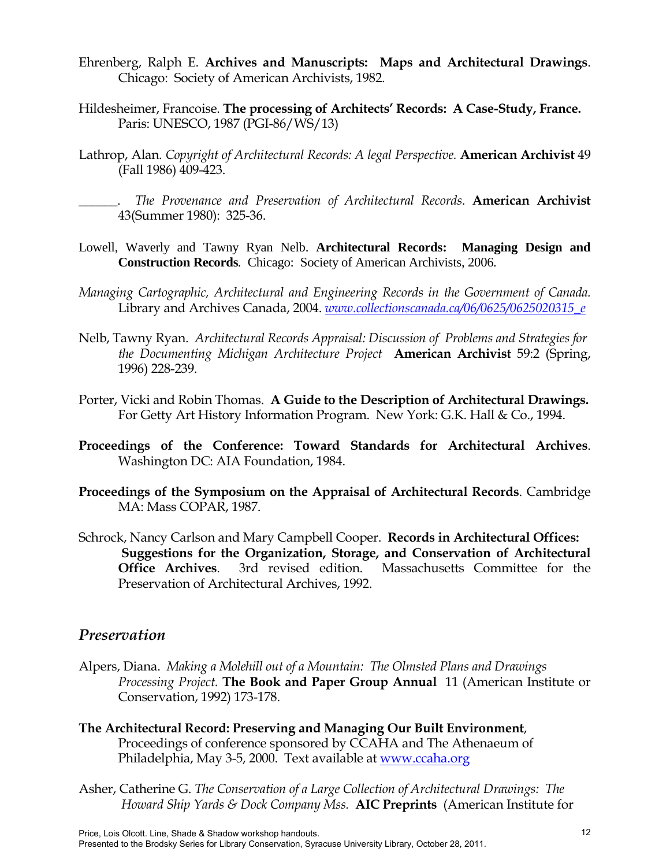- Ehrenberg, Ralph E. **Archives and Manuscripts: Maps and Architectural Drawings**. Chicago: Society of American Archivists, 1982.
- Hildesheimer, Francoise. **The processing of Architects' Records: A Case-Study, France.** Paris: UNESCO, 1987 (PGI-86/WS/13)
- Lathrop, Alan. *Copyright of Architectural Records: A legal Perspective*. **American Archivist** 49 (Fall 1986) 409-423.

\_\_\_\_\_\_. *The Provenance and Preservation of Architectural Records*. **American Archivist** 43(Summer 1980): 325-36.

- Lowell, Waverly and Tawny Ryan Nelb. **Architectural Records: Managing Design and Construction Records***.* Chicago: Society of American Archivists, 2006*.*
- *Managing Cartographic, Architectural and Engineering Records in the Government of Canada.* Library and Archives Canada, 2004. *[www.collectionscanada.ca/06/0625/0625020315\\_e](http://www.collectionscanada.ca/06/0625/0625020315_e)*
- Nelb, Tawny Ryan. *Architectural Records Appraisal: Discussion of Problems and Strategies for the Documenting Michigan Architecture Project* **American Archivist** 59:2 (Spring, 1996) 228-239.
- Porter, Vicki and Robin Thomas. **A Guide to the Description of Architectural Drawings.** For Getty Art History Information Program. New York: G.K. Hall & Co., 1994.
- **Proceedings of the Conference: Toward Standards for Architectural Archives**. Washington DC: AIA Foundation, 1984.
- **Proceedings of the Symposium on the Appraisal of Architectural Records**. Cambridge MA: Mass COPAR, 1987.
- Schrock, Nancy Carlson and Mary Campbell Cooper. **Records in Architectural Offices: Suggestions for the Organization, Storage, and Conservation of Architectural Office Archives**. 3rd revised edition. Massachusetts Committee for the Preservation of Architectural Archives, 1992.

### *Preservation*

- Alpers, Diana. *Making a Molehill out of a Mountain: The Olmsted Plans and Drawings Processing Project.* **The Book and Paper Group Annual** 11 (American Institute or Conservation, 1992) 173-178.
- **The Architectural Record: Preserving and Managing Our Built Environment**, Proceedings of conference sponsored by CCAHA and The Athenaeum of Philadelphia, May 3-5, 2000. Text available at [www.ccaha.org](http://www.ccaha.org/)
- Asher, Catherine G. *The Conservation of a Large Collection of Architectural Drawings: The Howard Ship Yards & Dock Company Mss.* **AIC Preprints** (American Institute for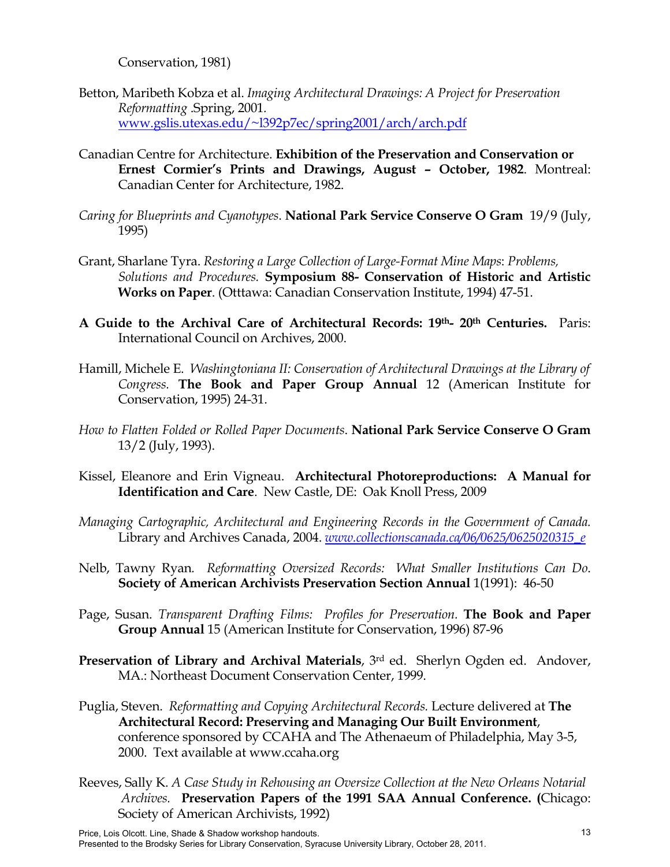Conservation, 1981)

- Betton, Maribeth Kobza et al. *Imaging Architectural Drawings: A Project for Preservation Reformatting* .Spring, 2001*.*  [www.gslis.utexas.edu/~l392p7ec/spring2001/arch/arch.pdf](http://www.gslis.utexas.edu/~l392p7ec/spring2001/arch/arch.pdf)
- Canadian Centre for Architecture. **Exhibition of the Preservation and Conservation or Ernest Cormier's Prints and Drawings, August – October, 1982**. Montreal: Canadian Center for Architecture, 1982.
- *Caring for Blueprints and Cyanotypes*. **National Park Service Conserve O Gram** 19/9 (July, 1995)
- Grant, Sharlane Tyra. *Restoring a Large Collection of Large-Format Mine Maps*: *Problems, Solutions and Procedures.* **Symposium 88- Conservation of Historic and Artistic Works on Paper**. (Otttawa: Canadian Conservation Institute, 1994) 47-51.
- **A Guide to the Archival Care of Architectural Records: 19th- 20th Centuries.** Paris: International Council on Archives, 2000.
- Hamill, Michele E. *Washingtoniana II: Conservation of Architectural Drawings at the Library of Congress.* **The Book and Paper Group Annual** 12 (American Institute for Conservation, 1995) 24-31.
- *How to Flatten Folded or Rolled Paper Documents*. **National Park Service Conserve O Gram** 13/2 (July, 1993).
- Kissel, Eleanore and Erin Vigneau. **Architectural Photoreproductions: A Manual for Identification and Care**. New Castle, DE: Oak Knoll Press, 2009
- *Managing Cartographic, Architectural and Engineering Records in the Government of Canada.* Library and Archives Canada, 2004. *[www.collectionscanada.ca/06/0625/0625020315\\_e](http://www.collectionscanada.ca/06/0625/0625020315_e)*
- Nelb, Tawny Ryan*. Reformatting Oversized Records: What Smaller Institutions Can Do*. **Society of American Archivists Preservation Section Annual** 1(1991): 46-50
- Page, Susan. *Transparent Drafting Films: Profiles for Preservation.* **The Book and Paper Group Annual** 15 (American Institute for Conservation, 1996) 87-96
- **Preservation of Library and Archival Materials**, 3rd ed. Sherlyn Ogden ed. Andover, MA.: Northeast Document Conservation Center, 1999.
- Puglia, Steven. *Reformatting and Copying Architectural Records.* Lecture delivered at **The Architectural Record: Preserving and Managing Our Built Environment**, conference sponsored by CCAHA and The Athenaeum of Philadelphia, May 3-5, 2000. Text available at www.ccaha.org
- Reeves, Sally K. *A Case Study in Rehousing an Oversize Collection at the New Orleans Notarial Archives.* **Preservation Papers of the 1991 SAA Annual Conference. (**Chicago: Society of American Archivists, 1992)